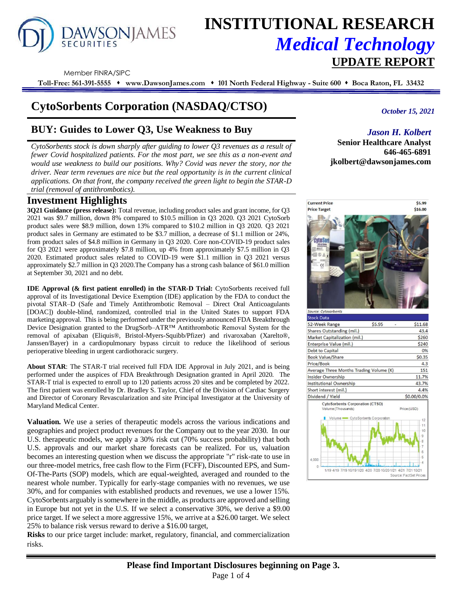# DAWSONJAMES

# **INSTITUTIONAL RESEARCH** *Medical Technology*  **UPDATE REPORT**

Member FINRA/SIPC

**Toll-Free: 561-391-5555** ⬧ **www.DawsonJames.com** ⬧ **101 North Federal Highway - Suite 600** ⬧ **Boca Raton, FL 33432**

## **CytoSorbents Corporation (NASDAQ/CTSO)**

### **BUY: Guides to Lower Q3, Use Weakness to Buy**

*CytoSorbents stock is down sharply after guiding to lower Q3 revenues as a result of fewer Covid hospitalized patients. For the most part, we see this as a non-event and would use weakness to build our positions. Why? Covid was never the story, nor the driver. Near term revenues are nice but the real opportunity is in the current clinical applications. On that front, the company received the green light to begin the STAR-D trial (removal of antithrombotics).* 

#### **Investment Highlights**

**3Q21 Guidance (press release):** Total revenue, including product sales and grant income, for Q3 2021 was \$9.7 million, down 8% compared to \$10.5 million in Q3 2020. Q3 2021 CytoSorb product sales were \$8.9 million, down 13% compared to \$10.2 million in Q3 2020. Q3 2021 product sales in Germany are estimated to be \$3.7 million, a decrease of \$1.1 million or 24%, from product sales of \$4.8 million in Germany in Q3 2020. Core non-COVID-19 product sales for Q3 2021 were approximately \$7.8 million, up 4% from approximately \$7.5 million in Q3 2020. Estimated product sales related to COVID-19 were \$1.1 million in Q3 2021 versus approximately \$2.7 million in Q3 2020.The Company has a strong cash balance of \$61.0 million at September 30, 2021 and no debt.

**IDE Approval (& first patient enrolled) in the STAR-D Trial:** CytoSorbents received full approval of its Investigational Device Exemption (IDE) application by the FDA to conduct the pivotal STAR–D (Safe and Timely Antithrombotic Removal – Direct Oral Anticoagulants [DOAC]) double-blind, randomized, controlled trial in the United States to support FDA marketing approval. This is being performed under the previously announced FDA Breakthrough Device Designation granted to the DrugSorb–ATR™ Antithrombotic Removal System for the removal of apixaban (Eliquis®, Bristol-Myers-Squibb/Pfizer) and rivaroxaban (Xarelto®, Janssen/Bayer) in a cardiopulmonary bypass circuit to reduce the likelihood of serious perioperative bleeding in urgent cardiothoracic surgery.

**About STAR**: The STAR-T trial received full FDA IDE Approval in July 2021, and is being performed under the auspices of FDA Breakthrough Designation granted in April 2020. The STAR-T trial is expected to enroll up to 120 patients across 20 sites and be completed by 2022. The first patient was enrolled by Dr. Bradley S. Taylor, Chief of the Division of Cardiac Surgery and Director of Coronary Revascularization and site Principal Investigator at the University of Maryland Medical Center.

**Valuation.** We use a series of therapeutic models across the various indications and geographies and project product revenues for the Company out to the year 2030. In our U.S. therapeutic models, we apply a 30% risk cut (70% success probability) that both U.S. approvals and our market share forecasts can be realized. For us, valuation becomes an interesting question when we discuss the appropriate "r" risk-rate to use in our three-model metrics, free cash flow to the Firm (FCFF), Discounted EPS, and Sum-Of-The-Parts (SOP) models, which are equal-weighted, averaged and rounded to the nearest whole number. Typically for early-stage companies with no revenues, we use 30%, and for companies with established products and revenues, we use a lower 15%. CytoSorbents arguably is somewhere in the middle, as products are approved and selling in Europe but not yet in the U.S. If we select a conservative 30%, we derive a \$9.00 price target. If we select a more aggressive 15%, we arrive at a \$26.00 target. We select 25% to balance risk versus reward to derive a \$16.00 target,

**Risks** to our price target include: market, regulatory, financial, and commercialization risks.

*October 15, 2021*

#### *Jason H. Kolbert*

**Senior Healthcare Analyst 646-465-6891 jkolbert@dawsonjames.com**

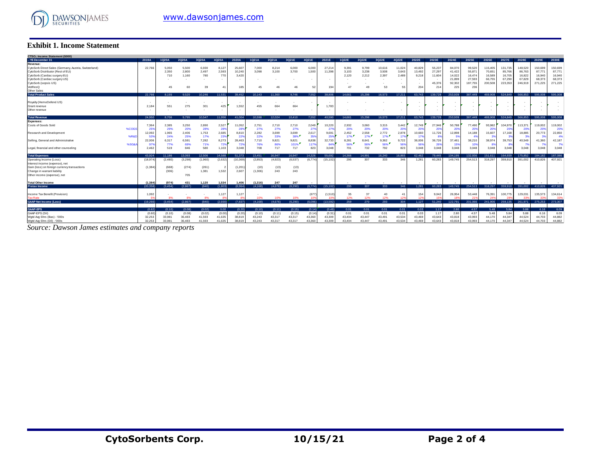

#### **Exhibit 1. Income Statement**

| <b>Exhibit 1. Income Statement</b>                                                         |                  |                  |                  |                  |                  |                  |                  |                  |                  |                  |                  |                  |                           |                  |                  |                  |                  |                  |                       |                   |                   |                   |                   |                          |
|--------------------------------------------------------------------------------------------|------------------|------------------|------------------|------------------|------------------|------------------|------------------|------------------|------------------|------------------|------------------|------------------|---------------------------|------------------|------------------|------------------|------------------|------------------|-----------------------|-------------------|-------------------|-------------------|-------------------|--------------------------|
| CTSO.: Income Statement (\$000)                                                            |                  |                  |                  |                  |                  |                  |                  |                  |                  |                  |                  |                  |                           |                  |                  |                  |                  |                  |                       |                   |                   |                   |                   |                          |
| .: YE December 31                                                                          | 2019A            | 1020A            | 2Q20A            | 3Q20A            | 4Q20A            | 2020A            | 1Q21A            | 2Q21A            | 3Q21E            | 4Q21E            | 2021E            | 1Q22E            | 2Q22E                     | 3Q22E            | 4Q22E            | 2022E            | 2023E            | 2024E            | 2025E                 | 2026E             | 2027E             | 2028E             | 2029E             | 2030E                    |
| Revenue:                                                                                   |                  |                  |                  |                  |                  |                  |                  |                  |                  |                  |                  |                  |                           |                  |                  |                  |                  |                  |                       |                   |                   |                   |                   |                          |
| CytoSorb Direct Sales (Germany, Austria, Switzerland)<br>CytoSorb Distributor (Rest of EU) | 22,766           | 5.050<br>2,350   | 5.500<br>2,800   | 6,930<br>2,497   | 8.127<br>2,593   | 25,607<br>10,240 | 7.000<br>3,098   | 8,214<br>3,100   | 6,000<br>3,700   | 6,000<br>1,500   | 27,21<br>11,398  | 9,391<br>3,103   | 9.799<br>3,238            | 10.61<br>3,508   | 11,024<br>3,643  | 40,829<br>13,492 | 55,237<br>27,297 | 84,070<br>41,422 | 99,520<br>55,871      | 115,405<br>70,651 | 131,735<br>85,766 | 148,520<br>86,763 | 150,699<br>87,771 | 150,699<br>87,771        |
| CytoSorb (Cardiac surgery EU)<br>CytoSorb (Cardiac surgery US)                             |                  | 710              | 1.160            | 780<br>$\sim$    | 770<br>. .       | 3,420<br>$\sim$  |                  |                  |                  | $\sim$           |                  | 2.120            | 2,212                     | 2,397            | 2.489            | 9,218<br>$\sim$  | 11,604           | 14,022<br>21,899 | 16,474<br>27,593      | 16,589<br>66,755  | 16,705<br>67,290  | 16,822<br>67,829  | 16,940<br>68,373  | 16,940<br>68,373         |
| CytoSorb (sepsis US)<br>VetResQ                                                            |                  | 45               | 60               | 39               | $\Lambda$ 1      | 185              | 45               | 46               | 46               | 52               | 194              | 47               | $\Delta$                  | 53               | 55               | 204              | 45,37<br>214     | 92,302<br>225    | 187,755<br>236        | 200,508           | 223,353           | 246,919           | 271,225           | 271,225                  |
| Other Sales<br>Total Product Sales                                                         | 22.766           | 8.155            | 9.520            | 10.246           | 11.531           | 39.452           | 10.143           | 11.360           | 9.746            | 7.552            | 38.806           | 14.661           | 15.298                    | 16.573           | 17.211           | 63.743           | 139.728          | 253.939          | 387 449               | 469,908           | 524.849           | 566.853           | 595,008           | 595,008                  |
|                                                                                            |                  |                  |                  |                  |                  |                  |                  |                  |                  |                  |                  |                  |                           |                  |                  |                  |                  |                  |                       |                   |                   |                   |                   |                          |
| Royalty (HemoDefend US)<br>Grant revenue                                                   | 2.18             | 551              | 275              | 301              | 425              | $\sim$<br>1,552  | 455              | 664              | 664              | ٠                | 1,783            |                  |                           |                  |                  | ٠                |                  |                  |                       |                   |                   |                   |                   |                          |
| Other revenue                                                                              |                  |                  |                  |                  |                  | ٠.               |                  |                  |                  |                  |                  |                  |                           |                  |                  |                  |                  |                  |                       |                   |                   |                   |                   |                          |
| <b>Total Revenue</b>                                                                       | 24.950           | 8.706            | 9.795            | 10.547           | 11.956           | 41.004           | 10.598           | 12.024           | 10.410           | 7.552            | 40.590           | 14.661           | 15.298                    | 16.573           | 17.211           | 63.743           | 139,728          | 253.939          | 387 449               | 469,908           | 524.849           | 566.853           | 595,008           | 595,008                  |
| Expenses:                                                                                  |                  |                  |                  |                  |                  |                  |                  |                  |                  |                  |                  |                  |                           |                  |                  |                  |                  |                  |                       |                   |                   |                   |                   |                          |
| Costs of Goods Sold<br>%COG                                                                | 7.36<br>25       | 2.385<br>29%     | 3,250<br>20%     | 2.890<br>28%     | 2.527<br>28%     | 11,052<br>28%    | 2.751<br>27%     | 2.710<br>27%     | 2.710<br>27%     | 2.049<br>27%     | 10,220<br>279    | 2,932<br>20%     | 3,060<br>20%              | 3.315<br>20%     | 3.442<br>20%     | 12.749<br>20%    | 27,946<br>209    | 50.788<br>20%    | 77,490<br>20%         | 93,982<br>20%     | 104.970<br>20%    | 113.371<br>20%    | 119.002<br>20%    | 119,002<br>20%           |
| Research and Development<br>%R&f                                                           | 12.092<br>53     | 1.965<br>24%     | 2.406<br>25%     | 1,753<br>17%     | 2.685<br>23%     | 8.810<br>229     | 2,282<br>22%     | 3,699<br>33%     | 3,699<br>38%     | 2.617<br>355     | 9.691<br>25%     | 2,452<br>17%     | 2,558<br>17%              | 2,772<br>17%     | 2.878<br>17%     | 10,660<br>179    | 11,726           | 12,898<br>-59    | 14.188<br>$A^{\rm o}$ | 15,607<br>-39     | 17,168<br>з       | 18,885            | 20.773<br>-39     | 22,850<br>4 <sup>°</sup> |
| Selling, General and Administrative                                                        | 22.00            | 6.317            | 6,591            | 7,282            | 8.273            | 28.463           | 7.710            | 9,821            | 9,821            | 8,838            | 32.733           | 8,281            | 8.641<br>56% <sup>"</sup> | 9,362            | 9,722            | 36,006           | 36,726           | 37,461           | 38,210                | 38.974            | 39.753            | 40.549            | 41,360            | 42,187                   |
| %SG&<br>Legal, financial and other counseling                                              | 97<br>2.462      | 77%<br>519       | 69%<br>846       | 71%<br>580       | 729<br>1.103     | 729<br>3.048     | 76%<br>708       | 86%<br>717       | 101%<br>717      | 1175<br>823      | 84%<br>3.048     | 56%<br>701       | 732                       | 56%<br>792       | 56%<br>823       | 56%<br>3.048     | 26%<br>3.048     | 15%<br>3.048     | 10%<br>3.048          | -89<br>3.048      | 3.048             | 3.048             | 73<br>3.048       | 3.048                    |
| <b>Total Expenses</b>                                                                      | 43.924           | 11.186           | 13.093           | 12,506           | 14588            | 51.373           | 13.451           | 16.947           | 16.947           | 14.326           | 55.692           | 14.366           | 14.991                    | 16.240           | 16.865           | 62.462           | 79.445           | 104.195          | 132.936               | 151.611           | 164.939           | 175.852           | 184.182           | 187,086                  |
| Operating Income (Loss)                                                                    | (18.974          | (2,480)          | (3,298)          | (1,960)          | (2,632)          | (10, 369)        | (2,853)          | (4,923)          | (6.537)          | (6.774)          | (15, 102)        | 295              | 307                       | 333              | 346              | 1.281            | 60.283           | 149.745          | 254,513               | 318,297           | 359,910           | 391.002           | 410,826           | 407.921                  |
| Interest income (expense), net<br>Gain (loss) on foreign currency transactions             | (1.384)          | (668)            | (274)            | (261)            |                  | (1, 201)         | (10)             | (13)             | (13)             |                  |                  |                  |                           |                  |                  |                  |                  |                  |                       |                   |                   |                   |                   |                          |
| Change in warrant liability                                                                |                  | (306)            |                  | 1.381            | 1.532            | 2,607            | (1.306)          | 243              | 243              |                  |                  |                  |                           |                  |                  |                  |                  |                  |                       |                   |                   |                   |                   |                          |
| Other income (expense), net                                                                |                  |                  | 705              |                  |                  |                  |                  |                  |                  |                  |                  |                  |                           |                  |                  |                  |                  |                  |                       |                   |                   |                   |                   |                          |
| <b>Total Other Income</b>                                                                  | (1.384)          | (974)            | 431              | 1.120            | 1.534            | 1.406            | (1.316)          | 247              | 247              |                  |                  |                  |                           |                  |                  |                  |                  |                  |                       |                   |                   |                   |                   |                          |
| <b>Pretax Income</b>                                                                       | (20.358)         | (3.454)          | (2.867)          | (840)            | (1.803)          | (8.964)          | (4.168)          | (4.676)          | (6.290)          | (6.774)          | (15.102)         | 295              | 307                       | 333.             | 346              | 1.281            | 60.283           | 149.745          | 254,513               | 318,297           | 359,910           | 391.002           | 410.826           | 407.921                  |
| Income Tax Benefit (Provision)                                                             | 1.092            |                  |                  |                  | 1.127            | 1,127            | $\sim$           |                  |                  | (67)             | (1,510)          | 35               | 37                        | 40               | 4 <sup>1</sup>   | 154              | 9,042            | 26,954           | 53,448                | 76,391            | 100,775           | 129.031           | 135,573           | 134,614                  |
| <b>Tax Rate</b>                                                                            |                  |                  |                  | 8%               |                  |                  |                  | 10%              | 10%              |                  |                  | 12%              | 12%                       | 12%              | 12 <sub>1</sub>  | 12               |                  | 18               |                       | 24                |                   |                   | -22               |                          |
| <b>GAAP Net Income (Loss)</b>                                                              | (19.266)         | (3.454)          | (2.867)          | (840)            | (2.930)          | (7, 837)         | (4.168)          | (4.676)          | (6.290)          | (6.096)          | (13.592)         | 259              | 270                       | 293              | 304              | 1,127            | 51.240           | 122,791          | 201,066               | 241.906           | 259,135           | 261.971           | 275,253           | 273,307                  |
| <b>GAAP-EPS</b>                                                                            | (0.62)           | (0.10)           | (0.08)           | (0.02)           | 0.00             | (0.20)           | (0.10)           | (0.11)           | (0.15)           | (0.14)           | (0.49)           | 0.01             | 0.01                      | 0.01             | 0.01             | 0.03             | 1.17             | 2.80             | 4.57                  | 5.48              | 5.84              | 5.88              | 6.16              | 6.09                     |
| GAAP-EPS (Dil)                                                                             | (0.60)           | (0.10)           | (0.08)           | (0.02)           | (0.00)           | (0.20)           | (0.10)           | (0.11)           | (0.15)           | (0.14)           | (0.31)           | 0.01             | 0.01                      | 0.01             | 0.01             | 0.03             | 1.17             | 2.80             | 4.57                  | 5.48              | 5.84              | 5.88              | 6.16              | 6.09                     |
| Wgtd Avg Shrs (Bas) - '000s<br>Wgtd Avg Shrs (Dil) - '000s                                 | 32,253<br>32.253 | 33,981<br>33.981 | 36,483<br>36,483 | 41,593<br>41.593 | 41,635<br>41.635 | 38,819<br>38,819 | 43.243<br>43.243 | 43,317<br>43.317 | 43,317<br>43,317 | 43,360<br>43.360 | 43,309<br>43,309 | 43.404<br>43.404 | 43.447<br>43.447          | 43.491<br>43.491 | 43,534<br>43.534 | 43,469<br>43,469 | 43,643<br>43.643 | 43,818<br>43,818 | 43,993<br>43,993      | 44,170<br>44.170  | 44.347<br>44.347  | 44.524<br>44.524  | 44,703<br>44.703  | 44,882<br>44.882         |
|                                                                                            |                  |                  |                  |                  |                  |                  |                  |                  |                  |                  |                  |                  |                           |                  |                  |                  |                  |                  |                       |                   |                   |                   |                   |                          |

*Source: Dawson James estimates and company reports*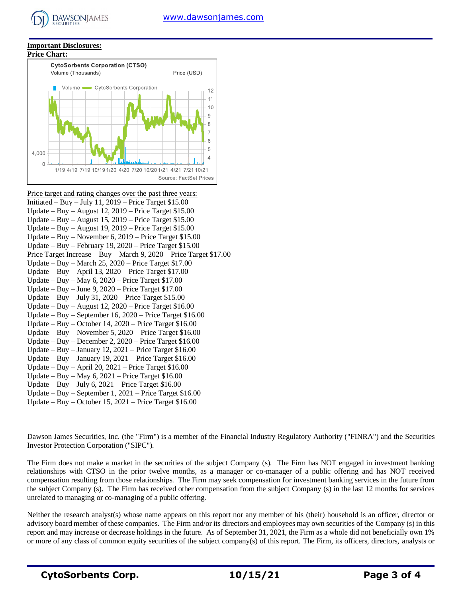#### **Important Disclosures:**

**DAWSONIAMES** 



| Price target and rating changes over the past three years:           |
|----------------------------------------------------------------------|
| Initiated – Buy – July 11, 2019 – Price Target $$15.00$              |
| Update – Buy – August 12, 2019 – Price Target $$15.00$               |
| Update – Buy – August 15, 2019 – Price Target $$15.00$               |
| Update – Buy – August 19, 2019 – Price Target $$15.00$               |
| Update – Buy – November 6, 2019 – Price Target \$15.00               |
| Update – Buy – February 19, 2020 – Price Target $$15.00$             |
| Price Target Increase – Buy – March 9, $2020$ – Price Target \$17.00 |
| Update – Buy – March 25, 2020 – Price Target $$17.00$                |
| Update – Buy – April 13, 2020 – Price Target $$17.00$                |
| Update – Buy – May 6, 2020 – Price Target $$17.00$                   |
| Update – Buy – June 9, 2020 – Price Target $$17.00$                  |
| Update - Buy - July 31, $2020$ - Price Target \$15.00                |
| Update – Buy – August 12, $2020$ – Price Target \$16.00              |
| Update – Buy – September 16, 2020 – Price Target $$16,00$            |
| Update – Buy – October 14, 2020 – Price Target $$16.00$              |
| Update – Buy – November 5, 2020 – Price Target $$16.00$              |
| Update – Buy – December 2, 2020 – Price Target $$16.00$              |
| Update – Buy – January 12, 2021 – Price Target $$16.00$              |
| Update – Buy – January 19, 2021 – Price Target $$16.00$              |
| Update – Buy – April 20, 2021 – Price Target $$16.00$                |
| Update – Buy – May 6, 2021 – Price Target $$16.00$                   |
| Update – Buy – July 6, 2021 – Price Target $$16.00$                  |
| Update – Buy – September 1, 2021 – Price Target $$16.00$             |
| Update – Buy – October 15, 2021 – Price Target $$16.00$              |

Dawson James Securities, Inc. (the "Firm") is a member of the Financial Industry Regulatory Authority ("FINRA") and the Securities Investor Protection Corporation ("SIPC").

The Firm does not make a market in the securities of the subject Company (s). The Firm has NOT engaged in investment banking relationships with CTSO in the prior twelve months, as a manager or co-manager of a public offering and has NOT received compensation resulting from those relationships. The Firm may seek compensation for investment banking services in the future from the subject Company (s). The Firm has received other compensation from the subject Company (s) in the last 12 months for services unrelated to managing or co-managing of a public offering.

Neither the research analyst(s) whose name appears on this report nor any member of his (their) household is an officer, director or advisory board member of these companies. The Firm and/or its directors and employees may own securities of the Company (s) in this report and may increase or decrease holdings in the future. As of September 31, 2021, the Firm as a whole did not beneficially own 1% or more of any class of common equity securities of the subject company(s) of this report. The Firm, its officers, directors, analysts or